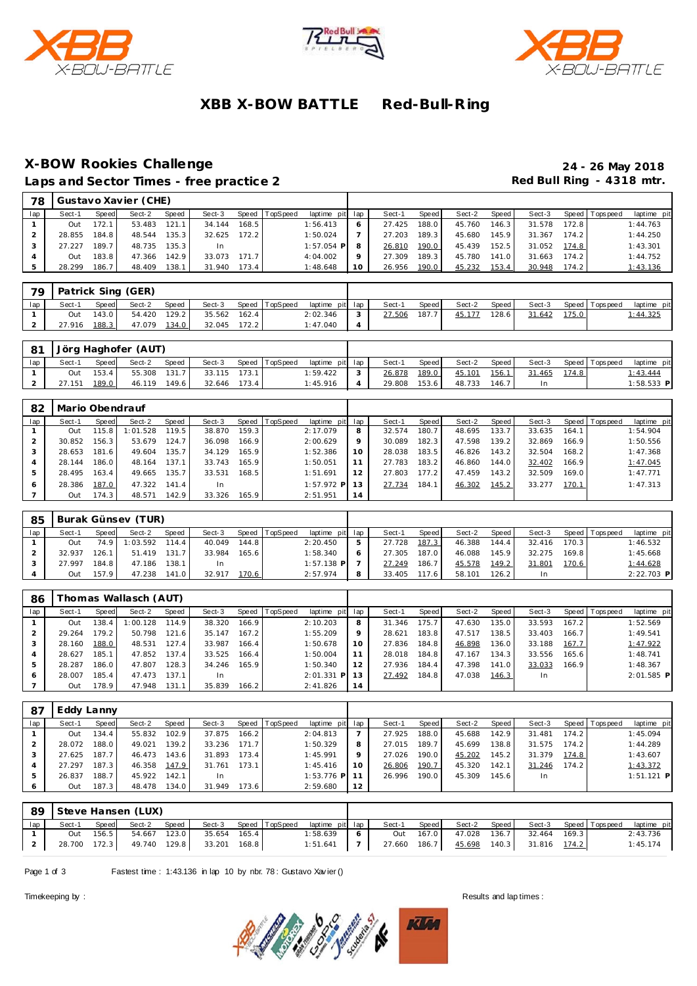





# **XBB X-BOW BATTLE Red-Bull-R ing**

### **X-BOW Rookies Challenge 24 - 26 May 2018** Laps and Sector Times - free practice 2 **All and Sector Times - free practice 2 Red Bull Ring - 4318 mtr.**

| 78  |        |       | Gustavo Xavier (CHE) |       |        |       |                 |              |     |        |       |        |       |        |       |                |             |
|-----|--------|-------|----------------------|-------|--------|-------|-----------------|--------------|-----|--------|-------|--------|-------|--------|-------|----------------|-------------|
| lap | Sect-1 | Speed | Sect-2               | Speed | Sect-3 | Speed | <b>TopSpeed</b> | laptime pit  | lap | Sect-1 | Speed | Sect-2 | Speed | Sect-3 |       | Speed Topspeed | laptime pit |
|     | Out    | 172.1 | 53.483               | 121.1 | 34.144 | 168.5 |                 | 1:56.413     |     | 27.425 | 188.0 | 45.760 | 146.3 | 31.578 | 172.8 |                | 1:44.763    |
|     | 28.855 | 184.8 | 48.544               | 135.3 | 32.625 | 172.2 |                 | 1:50.024     |     | 27.203 | 189.3 | 45.680 | 145.9 | 31.367 | 174.2 |                | 1:44.250    |
|     | 27.227 | 189.7 | 48.735               | 135.3 | In     |       |                 | $1:57.054$ P |     | 26.810 | 190.0 | 45.439 | 152.5 | 31.052 | 174.8 |                | 1:43.301    |
|     | Out    | 183.8 | 47.366               | 142.9 | 33.073 | 171.7 |                 | 4:04.002     |     | 27.309 | 189.3 | 45.780 | 141.0 | 31.663 | 174.2 |                | 1:44.752    |
|     | 28.299 | 186.7 | 48.409               | 138.1 | 31.940 | 173.4 |                 | 1:48.648     | 10  | 26.956 | 190.0 | 45.232 | 153.4 | 30.948 | 174.2 |                | 1:43.136    |

| 79  |        |       | Patrick Sing (GER) |       |        |       |                |                 |              |        |       |        |       |        |       |                |                  |
|-----|--------|-------|--------------------|-------|--------|-------|----------------|-----------------|--------------|--------|-------|--------|-------|--------|-------|----------------|------------------|
| lap | Sect-1 | Speed | Sect-2             | Speed | Sect-3 |       | Speed TopSpeed | laptime pit lap |              | Sect-1 | Speed | Sect-2 | Speed | Sect-3 |       | Speed Topspeed | laptime pit      |
|     | Out    | 143.0 | 54.420             | 129.2 | 35.562 | 162.4 |                | 2:02.346        | $\mathbf{r}$ | 27.506 | 187.  | 45.177 | 128.6 | 31.642 | 175.0 |                | <u> 1:44.325</u> |
|     | 27.916 | 188.3 | 47.079             | 134.0 | 32.045 | 172.2 |                | 1:47.040        |              |        |       |        |       |        |       |                |                  |

| -81 |        |              | Jörg Haghofer (AUT) |       |        |       |                |                 |        |       |        |       |        |       |                |              |
|-----|--------|--------------|---------------------|-------|--------|-------|----------------|-----------------|--------|-------|--------|-------|--------|-------|----------------|--------------|
| lap | Sect-1 | <b>Speed</b> | Sect-2              | Speed | Sect-3 |       | Speed TopSpeed | laptime pit lap | Sect-1 | Speed | Sect-2 | Speed | Sect-3 |       | Speed Topspeed | laptime pit  |
|     | Out    | 153.4        | 55.308              | 131.7 | 33.115 | 173.1 |                | : 59.422        | 26.878 | 189.0 | 45.101 | 156.1 | 31.465 | 174.8 |                | : 43.444     |
|     | 27.151 | 189.0        | 46.119              | 149.6 | 32.646 | 173.4 |                | 1:45.916        | 29.808 | 153.6 | 48.733 | 146.7 |        |       |                | $1:58.533$ P |

| 82  | Mario Obendrauf |       |          |       |        |       |                |                 |        |        |         |        |       |        |       |                 |             |
|-----|-----------------|-------|----------|-------|--------|-------|----------------|-----------------|--------|--------|---------|--------|-------|--------|-------|-----------------|-------------|
| lap | Sect-1          | Speed | Sect-2   | Speed | Sect-3 |       | Speed TopSpeed | laptime pit lap |        | Sect-1 | Speed I | Sect-2 | Speed | Sect-3 |       | Speed Tops peed | laptime pit |
|     | Out             | 115.8 | 1:01.528 | 119.5 | 38.870 | 159.3 |                | 2:17.079        | 8      | 32.574 | 180.7   | 48.695 | 133.7 | 33.635 | 164.1 |                 | 1:54.904    |
|     | 30.852          | 156.3 | 53.679   | 124.7 | 36.098 | 166.9 |                | 2:00.629        | 9      | 30.089 | 182.3   | 47.598 | 139.2 | 32.869 | 166.9 |                 | 1:50.556    |
|     | 28.653          | 181.6 | 49.604   | 135.7 | 34.129 | 165.9 |                | 1:52.386        | 10     | 28.038 | 183.5   | 46.826 | 143.2 | 32.504 | 168.2 |                 | 1:47.368    |
|     | 28.144          | 186.0 | 48.164   | 137.1 | 33.743 | 165.9 |                | 1:50.051        |        | 27.783 | 183.2   | 46.860 | 144.0 | 32.402 | 166.9 |                 | 1:47.045    |
| 5   | 28.495          | 163.4 | 49.665   | 135.7 | 33.531 | 168.5 |                | 1:51.691        | 12     | 27.803 | 177.2   | 47.459 | 143.2 | 32.509 | 169.0 |                 | 1:47.771    |
| 6   | 28.386          | 187.0 | 47.322   | 141.4 | In.    |       |                | 1:57.972 PI     | $13 -$ | 27.734 | 184.1   | 46.302 | 145.2 | 33.277 | 170.1 |                 | 1:47.313    |
|     | Out             | 174.3 | 48.571   | 142.9 | 33.326 | 165.9 |                | 2:51.951        | 14     |        |         |        |       |        |       |                 |             |

| 85  |        |                    | Burak Günsev (TUR) |       |        |        |                |                 |   |        |       |        |       |        |       |                 |              |
|-----|--------|--------------------|--------------------|-------|--------|--------|----------------|-----------------|---|--------|-------|--------|-------|--------|-------|-----------------|--------------|
| lap | Sect-1 | Speed              | Sect-2             | Speed | Sect-3 |        | Speed TopSpeed | laptime pit lap |   | Sect-1 | Speed | Sect-2 | Speed | Sect-3 |       | Speed Tops peed | laptime pit  |
|     | Out    | 749                | 1:03.592           | 114.4 | 40.049 | 144.8  |                | 2:20.450        | 5 | 27.728 | 187.3 | 46.388 | 144.4 | 32.416 | 170.3 |                 | 1:46.532     |
|     | 32.937 | 26.                | 51.419             | 131.7 | 33.984 | 165.61 |                | 1:58.340        | 6 | 27.305 | 187.0 | 46.088 | 145.9 | 32.275 | 169.8 |                 | 1:45.668     |
|     | 27.997 | 184.8 <sub>1</sub> | 47.186             | 138.1 | In     |        |                | 1:57.138 PI     |   | 27.249 | 186.7 | 45.578 | 149.2 | 31.801 | 170.6 |                 | 1:44.628     |
|     | Out    | 157.9              | 47.238             | 141.0 | 32.917 | 170.6  |                | 2:57.974        | 8 | 33.405 | 117.6 | 58.101 | 126.2 | In     |       |                 | $2:22.703$ P |

| 86  |        |       | Thomas Wallasch (AUT) |       |        |       |                 |                 |         |        |       |        |         |        |         |            |              |
|-----|--------|-------|-----------------------|-------|--------|-------|-----------------|-----------------|---------|--------|-------|--------|---------|--------|---------|------------|--------------|
| lap | Sect-1 | Speed | Sect-2                | Speed | Sect-3 | Speed | <b>TopSpeed</b> | laptime pit lap |         | Sect-1 | Speed | Sect-2 | Speed I | Sect-3 | Speed I | T ops peed | laptime pit  |
|     | Out    | 138.4 | 1:00.128              | 114.9 | 38.320 | 166.9 |                 | 2:10.203        | 8       | 31.346 | 175.7 | 47.630 | 135.0   | 33.593 | 167.21  |            | 1:52.569     |
|     | 29.264 | 179.2 | 50.798                | 121.6 | 35.147 | 167.2 |                 | 1:55.209        | $\circ$ | 28.621 | 183.8 | 47.517 | 138.5   | 33.403 | 166.7   |            | 1:49.541     |
|     | 28.160 | 188.0 | 48.531                | 127.4 | 33.987 | 166.4 |                 | 1:50.678        | 10      | 27.836 | 184.8 | 46.898 | 136.0   | 33.188 | 167.7   |            | 1:47.922     |
|     | 28.627 | 185.1 | 47.852                | 137.4 | 33.525 | 166.4 |                 | 1:50.004        |         | 28.018 | 184.8 | 47.167 | 134.3   | 33.556 | 165.6   |            | 1:48.741     |
|     | 28.287 | 186.0 | 47.807                | 128.3 | 34.246 | 165.9 |                 | 1:50.340        | 12      | 27.936 | 184.4 | 47.398 | 141.0   | 33.033 | 166.9   |            | 1:48.367     |
|     | 28.007 | 185.4 | 47.473                | 137.1 | In     |       |                 | $2:01.331$ P    |         | 27.492 | 184.8 | 47.038 | 146.3   | In     |         |            | $2:01.585$ P |
|     | Out    | 178.9 | 47.948                | 131.1 | 35.839 | 166.2 |                 | 2:41.826        | 14      |        |       |        |         |        |         |            |              |

| 87  | Eddy Lanny |       |        |       |        |       |                |                 |         |        |       |        |       |           |       |                 |              |
|-----|------------|-------|--------|-------|--------|-------|----------------|-----------------|---------|--------|-------|--------|-------|-----------|-------|-----------------|--------------|
| lap | Sect-1     | Speed | Sect-2 | Speed | Sect-3 |       | Speed TopSpeed | laptime pit lap |         | Sect-1 | Speed | Sect-2 | Speed | Sect-3    |       | Speed Tops peed | laptime pit  |
|     | Out        | 134.4 | 55.832 | 102.9 | 37.875 | 166.2 |                | 2:04.813        |         | 27.925 | 188.0 | 45.688 | 142.9 | 31.481    | 174.2 |                 | 1:45.094     |
|     | 28.072     | 188.0 | 49.021 | 139.2 | 33.236 | 171.7 |                | 1:50.329        | 8       | 27.015 | 189.7 | 45.699 | 138.8 | 31.575    | 174.2 |                 | 1:44.289     |
|     | 27.625     | 187.7 | 46.473 | 143.6 | 31.893 | 173.4 |                | 1:45.991        | $\circ$ | 27.026 | 190.0 | 45.202 | 145.2 | 31.379    | 174.8 |                 | 1:43.607     |
|     | 27.297     | 187.3 | 46.358 | 147.9 | 31.761 | 173.1 |                | 1:45.416        |         | 26.806 | 190.7 | 45.320 | 142.1 | 31.246    | 174.2 |                 | 1:43.372     |
|     | 26.837     | 188.7 | 45.922 | 142.1 | -In    |       |                | 1:53.776 PI     |         | 26.996 | 190.0 | 45.309 | 145.6 | <b>In</b> |       |                 | $1:51.121$ P |
|     | Out        | 187.3 | 48.478 | 134.0 | 31.949 | 173.6 |                | 2:59.680        | 12      |        |       |        |       |           |       |                 |              |

| -89 |              |       | Steve Hansen (LUX) |       |                     |       |                       |                 |   |        |       |                        |                    |                       |             |
|-----|--------------|-------|--------------------|-------|---------------------|-------|-----------------------|-----------------|---|--------|-------|------------------------|--------------------|-----------------------|-------------|
| lap | Sect-1       | Speed | Sect-2             | Speed |                     |       | Sect-3 Speed TopSpeed | laptime pit lap |   | Sect-1 | Speed | Sect-2 Speed           |                    | Sect-3 Speed Topspeed | laptime pit |
|     | Out          | 156.5 | 54.667 123.0       |       | 35.654 165.4        |       |                       | 1:58.639        | 6 |        |       | Out 167.0 47.028 136.7 | 32.464 169.3       |                       | 2:43.736    |
|     | 28.700 172.3 |       |                    |       | 49.740 129.8 33.201 | 168.8 |                       | $1:51.641$ 7    |   |        |       | 27.660 186.7 45.698    | 140.3 31.816 174.2 |                       | 1:45.174    |

Page 1 of 3 Fastest time : 1:43.136 in lap 10 by nbr. 78 : Gustavo Xavier ()



Timekeeping by : Results and lap times : Results and lap times : Results and lap times :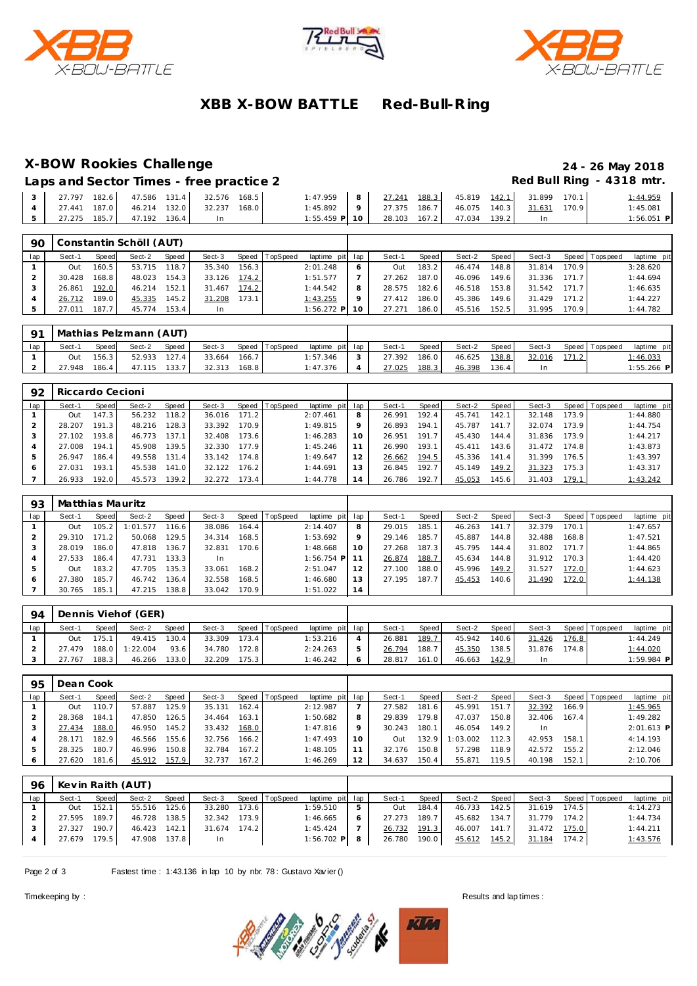





# **XBB X-BOW BATTLE Red-Bull-R ing**

# **X-BOW Rookies Challenge 24 - 26 May 2018**

Laps and Sector Times - free practice 2 **All and Sector Times - free practice 2 Red Bull Ring - 4318 mtr.** 

|                                          |  |      | $1:47.959$ 8 27.241 188.3 45.819 142.1 31.899 170.1         |  |  |     | 1:44.959     |
|------------------------------------------|--|------|-------------------------------------------------------------|--|--|-----|--------------|
| 4 27.441 187.0 46.214 132.0 32.237 168.0 |  |      | $1:45.892$   9   27.375 186.7   46.075 140.3   31.631 170.9 |  |  |     | 1:45.081     |
|                                          |  | i In | $1:55.459$ P $10$ 28.103 167.2 47.034 139.2                 |  |  | -In | $1:56.051$ P |

| 90  |        |       | Constantin Schöll (AUT) |       |           |       |          |                 |         |        |       |        |         |        |       |                 |             |
|-----|--------|-------|-------------------------|-------|-----------|-------|----------|-----------------|---------|--------|-------|--------|---------|--------|-------|-----------------|-------------|
| lap | Sect-1 | Speed | Sect-2                  | Speed | Sect-3    | Speed | TopSpeed | laptime pit lap |         | Sect-1 | Speed | Sect-2 | Speed I | Sect-3 |       | Speed Tops peed | laptime pit |
|     | Out    | 160.5 | 53.715                  | 118.7 | 35.340    | 156.3 |          | 2:01.248        |         | Out    | 183.2 | 46.474 | 148.8   | 31.814 | 170.9 |                 | 3:28.620    |
|     | 30.428 | 168.8 | 48.023                  | 154.3 | 33.126    | 174.2 |          | 1:51.577        |         | 27.262 | 187.0 | 46.096 | 149.6   | 31.336 | 171.7 |                 | 1:44.694    |
|     | 26.861 | 192.0 | 46.214                  | 152.1 | 31.467    | 174.2 |          | 1:44.542        | 8       | 28.575 | 182.6 | 46.518 | 153.8   | 31.542 | 171.7 |                 | 1:46.635    |
|     | 26.712 | 189.0 | 45.335                  | 145.2 | 31.208    | 173.1 |          | 1:43.255        | $\circ$ | 27.412 | 186.0 | 45.386 | 149.6   | 31.429 | 171.2 |                 | 1:44.227    |
|     | 27.011 | 187.7 | 45.774                  | 153.4 | <b>In</b> |       |          | 1:56.272 P 10   |         | 27.271 | 186.0 | 45.516 | 152.5   | 31.995 | 170.9 |                 | 1:44.782    |

| 91  |        |              | Mathias Pelzmann (AUT) |       |        |       |                |                 |            |        |         |        |       |        |                 |                 |
|-----|--------|--------------|------------------------|-------|--------|-------|----------------|-----------------|------------|--------|---------|--------|-------|--------|-----------------|-----------------|
| lap | Sect-1 | <b>Speed</b> | Sect-2                 | Speed | Sect-3 |       | Speed TopSpeed | laptime pit lap |            | Sect-1 | Speed I | Sect-2 | Speed | Sect-3 | Speed Tops peed | laptime pit     |
|     | Out    | 156.3        | 52.933                 | 127.4 | 33.664 | 166.7 |                | 1:57.346        | $\sqrt{2}$ | 27.392 | 186.0   | 46.625 | 138.8 | 32.016 |                 | <u>1:46.033</u> |
|     | 27.948 | 186.4        | 47.115                 | 133.7 | 32.313 | 168.8 |                | 1:47.376        |            | 27.025 | 188.3   | 46.398 | 136.4 |        |                 | $1:55.266$ P    |

| 92  | Riccardo Cecioni |       |        |       |        |       |          |                 |         |        |       |        |       |        |       |                |             |
|-----|------------------|-------|--------|-------|--------|-------|----------|-----------------|---------|--------|-------|--------|-------|--------|-------|----------------|-------------|
| lap | Sect-1           | Speed | Sect-2 | Speed | Sect-3 | Speed | TopSpeed | laptime pit lap |         | Sect-1 | Speed | Sect-2 | Speed | Sect-3 |       | Speed Topspeed | laptime pit |
|     | Out              | 147.3 | 56.232 | 118.2 | 36.016 | 171.2 |          | 2:07.461        | 8       | 26.991 | 192.4 | 45.741 | 142.1 | 32.148 | 173.9 |                | 1:44.880    |
|     | 28.207           | 191.3 | 48.216 | 128.3 | 33.392 | 170.9 |          | 1:49.815        | $\circ$ | 26.893 | 194.1 | 45.787 | 141.7 | 32.074 | 173.9 |                | 1:44.754    |
|     | 27.102           | 193.8 | 46.773 | 137.1 | 32.408 | 173.6 |          | 1:46.283        | 10      | 26.951 | 191.7 | 45.430 | 144.4 | 31.836 | 173.9 |                | 1:44.217    |
| 4   | 27.008           | 194.1 | 45.908 | 139.5 | 32.330 | 177.9 |          | 1:45.246        |         | 26.990 | 193.1 | 45.411 | 143.6 | 31.472 | 174.8 |                | 1:43.873    |
| 5   | 26.947           | 186.4 | 49.558 | 131.4 | 33.142 | 174.8 |          | 1:49.647        | 12      | 26.662 | 194.5 | 45.336 | 141.4 | 31.399 | 176.5 |                | 1:43.397    |
|     | 27.031           | 193.1 | 45.538 | 141.0 | 32.122 | 176.2 |          | 1:44.691        | 13      | 26.845 | 192.7 | 45.149 | 149.2 | 31.323 | 175.3 |                | 1:43.317    |
|     | 26.933           | 192.0 | 45.573 | 139.2 | 32.272 | 173.4 |          | 1:44.778        | 14      | 26.786 | 192.7 | 45.053 | 145.6 | 31.403 | 179.1 |                | 1:43.242    |

| 93            | Matthias Mauritz |       |          |       |        |       |                |                 |     |        |       |        |       |        |       |                 |             |
|---------------|------------------|-------|----------|-------|--------|-------|----------------|-----------------|-----|--------|-------|--------|-------|--------|-------|-----------------|-------------|
| lap           | Sect-1           | Speed | Sect-2   | Speed | Sect-3 |       | Speed TopSpeed | laptime pit     | lap | Sect-1 | Speed | Sect-2 | Speed | Sect-3 |       | Speed Tops peed | laptime pit |
|               | Out              | 105.2 | 1:01.577 | 116.6 | 38.086 | 164.4 |                | 2:14.407        | 8   | 29.015 | 185.1 | 46.263 | 141   | 32.379 | 170.1 |                 | 1:47.657    |
|               | 29.310           | 171.2 | 50.068   | 129.5 | 34.314 | 168.5 |                | 1:53.692        | 9   | 29.146 | 185.7 | 45.887 | 144.8 | 32.488 | 168.8 |                 | 1:47.521    |
|               | 28.019           | 186.0 | 47.818   | 136.7 | 32.831 | 170.6 |                | 1:48.668        | 10  | 27.268 | 187.3 | 45.795 | 144.4 | 31.802 | 171.7 |                 | 1:44.865    |
|               | 27.533           | 186.4 | 47.731   | 133.3 | In     |       |                | $1:56.754$ P 11 |     | 26.874 | 188.7 | 45.634 | 144.8 | 31.912 | 170.3 |                 | 1:44.420    |
| $\mathcal{P}$ | Out              | 183.2 | 47.705   | 135.3 | 33.061 | 168.2 |                | 2:51.047        | 12  | 27.100 | 188.0 | 45.996 | 149.2 | 31.527 | 172.0 |                 | 1:44.623    |
| 6             | 27.380           | 185.7 | 46.742   | 136.4 | 32.558 | 168.5 |                | 1:46.680        | 13  | 27.195 | 187.7 | 45.453 | 140.6 | 31.490 | 172.0 |                 | 1:44.138    |
|               | 30.765           | 185.1 | 47.215   | 138.8 | 33.042 | 170.9 |                | 1:51.022        | 14  |        |       |        |       |        |       |                 |             |

| $Q_{\mathcal{A}}$ |        |              | Dennis Viehof (GER) |       |        |       |          |                 |        |         |        |       |        |       |                |              |
|-------------------|--------|--------------|---------------------|-------|--------|-------|----------|-----------------|--------|---------|--------|-------|--------|-------|----------------|--------------|
| lap               | Sect-1 | <b>Speed</b> | Sect-2              | Speed | Sect-3 | Speed | TopSpeed | laptime pit lap | Sect-1 | Speed i | Sect-2 | Speed | Sect-3 |       | Speed Topspeed | laptime pit  |
|                   | Out    | 175.7        | 49.415              | 130.4 | 33.309 | 173.4 |          | 1:53.216        | 26.881 | 189.7   | 45.942 | 140.6 | 31.426 | 176.8 |                | 1:44.249     |
|                   | 27.479 | 188.0        | 1:22.004            | 93.6  | 34.780 | 172.8 |          | 2:24.263        | 26.794 | 188.7   | 45.350 | 138.5 | 31.876 | 174.8 |                | 1:44.020     |
|                   | 27.767 | 188.3        | 46.266              | 133.0 | 32.209 | 175.3 |          | 1:46.242        | 28.817 | 161.0   | 46.663 | 142.9 | In     |       |                | $1:59.984$ P |

| 95  | Dean Cook |       |        |       |        |       |                |                 |    |        |       |          |       |        |       |                |              |
|-----|-----------|-------|--------|-------|--------|-------|----------------|-----------------|----|--------|-------|----------|-------|--------|-------|----------------|--------------|
| lap | Sect-1    | Speed | Sect-2 | Speed | Sect-3 |       | Speed TopSpeed | laptime pit lap |    | Sect-1 | Speed | Sect-2   | Speed | Sect-3 |       | Speed Topspeed | laptime pit  |
|     | Out       | 110.7 | 57.887 | 125.9 | 35.131 | 162.4 |                | 2:12.987        |    | 27.582 | 181.6 | 45.991   | 151.7 | 32.392 | 166.9 |                | 1:45.965     |
|     | 28.368    | 184.1 | 47.850 | 126.5 | 34.464 | 163.1 |                | 1:50.682        | 8  | 29.839 | 179.8 | 47.037   | 150.8 | 32.406 | 167.4 |                | 1:49.282     |
|     | 27.434    | 188.0 | 46.950 | 145.2 | 33.432 | 168.0 |                | 1:47.816        | Q  | 30.243 | 180.1 | 46.054   | 149.2 | In.    |       |                | $2:01.613$ P |
|     | 28.171    | 182.9 | 46.566 | 155.6 | 32.756 | 166.2 |                | 1:47.493        | 10 | Out    | 132.9 | 1:03.002 | 112.3 | 42.953 | 158.1 |                | 4:14.193     |
| 5   | 28.325    | 180.7 | 46.996 | 150.8 | 32.784 | 167.2 |                | 1:48.105        |    | 32.176 | 150.8 | 57.298   | 118.9 | 42.572 | 155.2 |                | 2:12.046     |
| 6   | 27.620    | 181.6 | 45.912 | 157.9 | 32.737 | 167.2 |                | 1:46.269        | 12 | 34.637 | 150.4 | 55.871   | 119.5 | 40.198 | 152.1 |                | 2:10.706     |

| 96  |              |       | Kevin Raith (AUT) |       |        |       |                |                 |              |       |        |       |        |       |                |             |
|-----|--------------|-------|-------------------|-------|--------|-------|----------------|-----------------|--------------|-------|--------|-------|--------|-------|----------------|-------------|
| lap | Sect-1       | Speed | Sect-2            | Speed | Sect-3 |       | Speed TopSpeed | laptime pit lap | Sect-1       | Speed | Sect-2 | Speed | Sect-3 |       | Speed Topspeed | laptime pit |
|     | Out          | 152.1 | 55.516            | 125.6 | 33.280 | 173.6 |                | 1:59.510        | Out          | 184.4 | 46.733 | 142.5 | 31.619 | 174.5 |                | 4:14.273    |
|     | 27.595 189.7 |       | 46.728            | 138.5 | 32.342 | 173.9 |                | 1:46.665        | 27.273 189.7 |       | 45.682 | 134.7 | 31.779 | 174.2 |                | 1:44.734    |
|     | 27.327       | 190.7 | 46.423 142.1      |       | 31.674 | 174.2 |                | 1:45.424        | 26.732 191.3 |       | 46.007 | 141.7 | 31.472 | 175.0 |                | 1:44.211    |
|     | 27.679 179.5 |       | 47.908 137.8      |       | In.    |       |                | $1:56.702$ P 8  | 26.780 190.0 |       | 45.612 | 145.2 | 31.184 | 174.2 |                | 1:43.576    |
|     |              |       |                   |       |        |       |                |                 |              |       |        |       |        |       |                |             |

Page 2 of 3 Fastest time : 1:43.136 in lap 10 by nbr. 78 : Gustavo Xavier ()



Timekeeping by : Results and lap times : Results and lap times : Results and lap times :